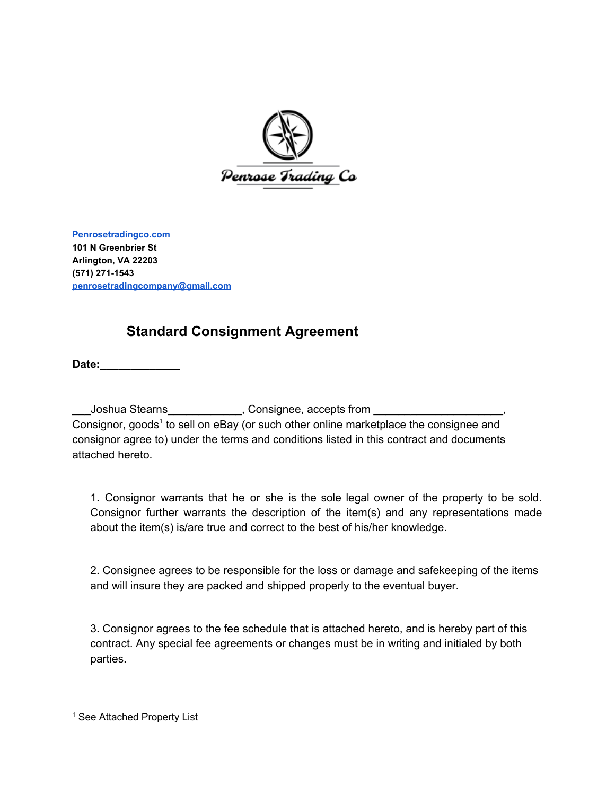

**[Penrosetradingco.com](http://www.penrosetradingco.com/) 101 N Greenbrier St Arlington, VA 22203 (571) 271-1543 [penrosetradingcompany@gmail.com](mailto:penrosetradingcompany@gmail.com)**

## **Standard Consignment Agreement**

**Date:** 

Joshua Stearns\_\_\_\_\_\_\_\_\_\_\_\_, Consignee, accepts from \_\_\_\_\_\_\_\_\_\_\_\_\_\_\_\_ Consignor, goods<sup>1</sup> to sell on eBay (or such other online marketplace the consignee and consignor agree to) under the terms and conditions listed in this contract and documents attached hereto.

1. Consignor warrants that he or she is the sole legal owner of the property to be sold. Consignor further warrants the description of the item(s) and any representations made about the item(s) is/are true and correct to the best of his/her knowledge.

2. Consignee agrees to be responsible for the loss or damage and safekeeping of the items and will insure they are packed and shipped properly to the eventual buyer.

3. Consignor agrees to the fee schedule that is attached hereto, and is hereby part of this contract. Any special fee agreements or changes must be in writing and initialed by both parties.

<sup>&</sup>lt;sup>1</sup> See Attached Property List